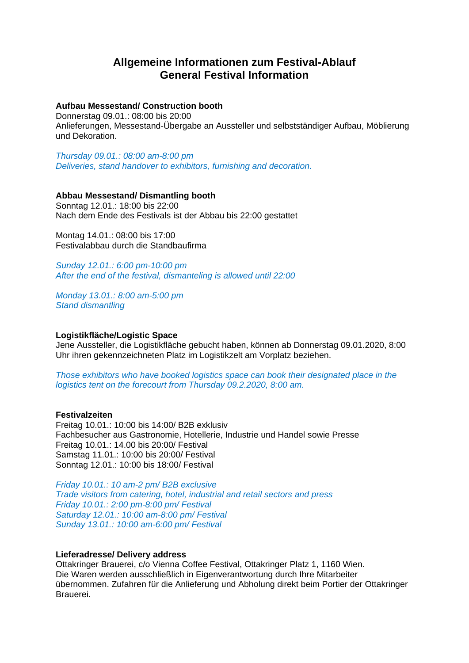# **Allgemeine Informationen zum Festival-Ablauf General Festival Information**

# **Aufbau Messestand/ Construction booth**

Donnerstag 09.01.: 08:00 bis 20:00 Anlieferungen, Messestand-Übergabe an Aussteller und selbstständiger Aufbau, Möblierung und Dekoration.

*Thursday 09.01.: 08:00 am-8:00 pm Deliveries, stand handover to exhibitors, furnishing and decoration.*

# **Abbau Messestand/ Dismantling booth**

Sonntag 12.01.: 18:00 bis 22:00 Nach dem Ende des Festivals ist der Abbau bis 22:00 gestattet

Montag 14.01.: 08:00 bis 17:00 Festivalabbau durch die Standbaufirma

*Sunday 12.01.: 6:00 pm-10:00 pm After the end of the festival, dismanteling is allowed until 22:00*

*Monday 13.01.: 8:00 am-5:00 pm Stand dismantling*

# **Logistikfläche/Logistic Space**

Jene Aussteller, die Logistikfläche gebucht haben, können ab Donnerstag 09.01.2020, 8:00 Uhr ihren gekennzeichneten Platz im Logistikzelt am Vorplatz beziehen.

*Those exhibitors who have booked logistics space can book their designated place in the logistics tent on the forecourt from Thursday 09.2.2020, 8:00 am.*

### **Festivalzeiten**

Freitag 10.01.: 10:00 bis 14:00/ B2B exklusiv Fachbesucher aus Gastronomie, Hotellerie, Industrie und Handel sowie Presse Freitag 10.01.: 14.00 bis 20:00/ Festival Samstag 11.01.: 10:00 bis 20:00/ Festival Sonntag 12.01.: 10:00 bis 18:00/ Festival

*Friday 10.01.: 10 am-2 pm/ B2B exclusive Trade visitors from catering, hotel, industrial and retail sectors and press Friday 10.01.: 2:00 pm-8:00 pm/ Festival Saturday 12.01.: 10:00 am-8:00 pm/ Festival Sunday 13.01.: 10:00 am-6:00 pm/ Festival*

### **Lieferadresse/ Delivery address**

Ottakringer Brauerei, c/o Vienna Coffee Festival, Ottakringer Platz 1, 1160 Wien. Die Waren werden ausschließlich in Eigenverantwortung durch Ihre Mitarbeiter übernommen. Zufahren für die Anlieferung und Abholung direkt beim Portier der Ottakringer Brauerei.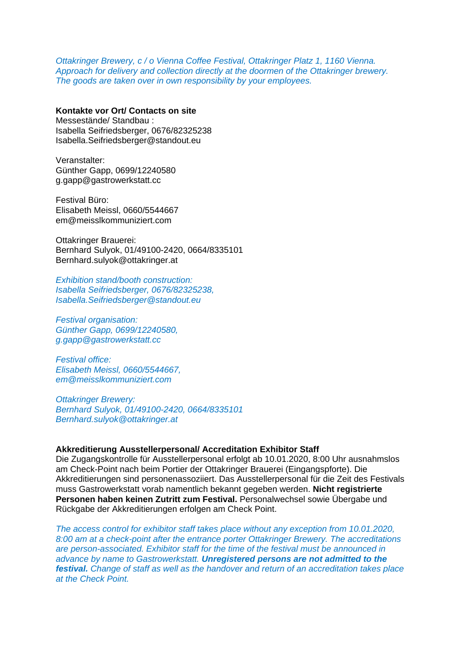*Ottakringer Brewery, c / o Vienna Coffee Festival, Ottakringer Platz 1, 1160 Vienna. Approach for delivery and collection directly at the doormen of the Ottakringer brewery. The goods are taken over in own responsibility by your employees.*

**Kontakte vor Ort/ Contacts on site** Messestände/ Standbau : Isabella Seifriedsberger, 0676/82325238 [Isabella.Seifriedsberger@standout.eu](mailto:Isabella.Seifriedsberger@standout.eu)

Veranstalter: Günther Gapp, 0699/12240580 [g.gapp@gastrowerkstatt.cc](mailto:g.gapp@gastrowerkstatt.cc)

Festival Büro: Elisabeth Meissl, 0660/5544667 [em@meisslkommuniziert.com](mailto:em@meisslkommuniziert.com)

Ottakringer Brauerei: Bernhard Sulyok, 01/49100-2420, 0664/8335101 Bernhard.sulyok@ottakringer.at

*Exhibition stand/booth construction: Isabella Seifriedsberger, 0676/82325238, [Isabella.Seifriedsberger@standout.eu](mailto:Isabella.Seifriedsberger@standout.eu)*

*Festival organisation: Günther Gapp, 0699/12240580, [g.gapp@gastrowerkstatt.cc](mailto:g.gapp@gastrowerkstatt.cc)*

*Festival office: Elisabeth Meissl, 0660/5544667, [em@meisslkommuniziert.com](mailto:em@meisslkommuniziert.com)*

*Ottakringer Brewery: Bernhard Sulyok, 01/49100-2420, 0664/8335101 Bernhard.sulyok@ottakringer.at*

# **Akkreditierung Ausstellerpersonal/ Accreditation Exhibitor Staff**

Die Zugangskontrolle für Ausstellerpersonal erfolgt ab 10.01.2020, 8:00 Uhr ausnahmslos am Check-Point nach beim Portier der Ottakringer Brauerei (Eingangspforte). Die Akkreditierungen sind personenassoziiert. Das Ausstellerpersonal für die Zeit des Festivals muss Gastrowerkstatt vorab namentlich bekannt gegeben werden. **Nicht registrierte Personen haben keinen Zutritt zum Festival.** Personalwechsel sowie Übergabe und Rückgabe der Akkreditierungen erfolgen am Check Point.

*The access control for exhibitor staff takes place without any exception from 10.01.2020, 8:00 am at a check-point after the entrance porter Ottakringer Brewery. The accreditations are person-associated. Exhibitor staff for the time of the festival must be announced in advance by name to Gastrowerkstatt. Unregistered persons are not admitted to the festival. Change of staff as well as the handover and return of an accreditation takes place at the Check Point.*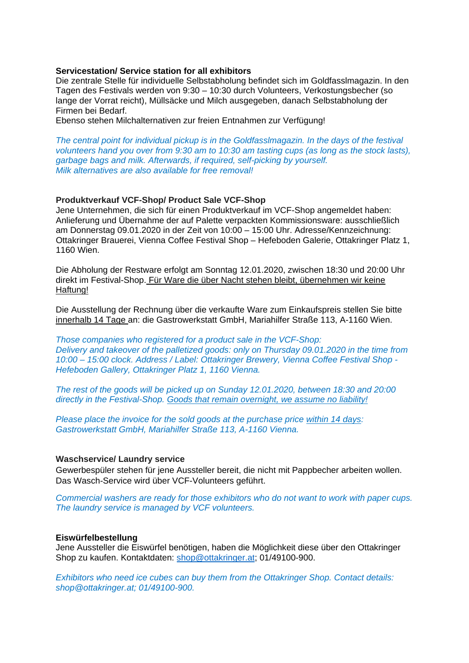#### **Servicestation/ Service station for all exhibitors**

Die zentrale Stelle für individuelle Selbstabholung befindet sich im Goldfasslmagazin. In den Tagen des Festivals werden von 9:30 – 10:30 durch Volunteers, Verkostungsbecher (so lange der Vorrat reicht), Müllsäcke und Milch ausgegeben, danach Selbstabholung der Firmen bei Bedarf.

Ebenso stehen Milchalternativen zur freien Entnahmen zur Verfügung!

*The central point for individual pickup is in the Goldfasslmagazin. In the days of the festival volunteers hand you over from 9:30 am to 10:30 am tasting cups (as long as the stock lasts), garbage bags and milk. Afterwards, if required, self-picking by yourself. Milk alternatives are also available for free removal!*

#### **Produktverkauf VCF-Shop/ Product Sale VCF-Shop**

Jene Unternehmen, die sich für einen Produktverkauf im VCF-Shop angemeldet haben: Anlieferung und Übernahme der auf Palette verpackten Kommissionsware: ausschließlich am Donnerstag 09.01.2020 in der Zeit von 10:00 – 15:00 Uhr. Adresse/Kennzeichnung: Ottakringer Brauerei, Vienna Coffee Festival Shop – Hefeboden Galerie, Ottakringer Platz 1, 1160 Wien.

Die Abholung der Restware erfolgt am Sonntag 12.01.2020, zwischen 18:30 und 20:00 Uhr direkt im Festival-Shop. Für Ware die über Nacht stehen bleibt, übernehmen wir keine Haftung!

Die Ausstellung der Rechnung über die verkaufte Ware zum Einkaufspreis stellen Sie bitte innerhalb 14 Tage an: die Gastrowerkstatt GmbH, Mariahilfer Straße 113, A-1160 Wien.

*Those companies who registered for a product sale in the VCF-Shop: Delivery and takeover of the palletized goods: only on Thursday 09.01.2020 in the time from 10:00 – 15:00 clock. Address / Label: Ottakringer Brewery, Vienna Coffee Festival Shop - Hefeboden Gallery, Ottakringer Platz 1, 1160 Vienna.*

*The rest of the goods will be picked up on Sunday 12.01.2020, between 18:30 and 20:00 directly in the Festival-Shop. Goods that remain overnight, we assume no liability!*

*Please place the invoice for the sold goods at the purchase price within 14 days: Gastrowerkstatt GmbH, Mariahilfer Straße 113, A-1160 Vienna.*

#### **Waschservice/ Laundry service**

Gewerbespüler stehen für jene Aussteller bereit, die nicht mit Pappbecher arbeiten wollen. Das Wasch-Service wird über VCF-Volunteers geführt.

*Commercial washers are ready for those exhibitors who do not want to work with paper cups. The laundry service is managed by VCF volunteers.*

## **Eiswürfelbestellung**

Jene Aussteller die Eiswürfel benötigen, haben die Möglichkeit diese über den Ottakringer Shop zu kaufen. Kontaktdaten: [shop@ottakringer.at;](mailto:shop@ottakringer.at) 01/49100-900.

*Exhibitors who need ice cubes can buy them from the Ottakringer Shop. Contact details: shop@ottakringer.at; 01/49100-900.*